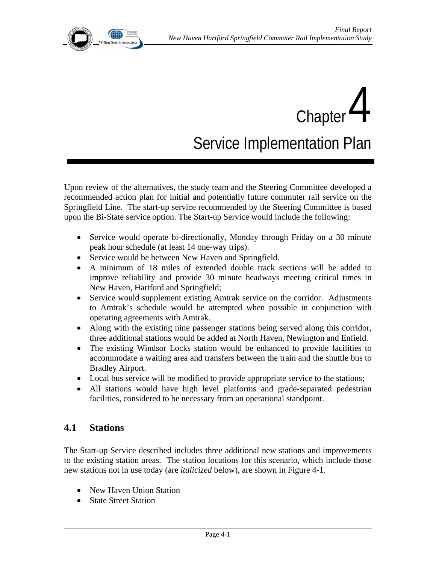Chapter  $4$ Service Implementation Plan

Upon review of the alternatives, the study team and the Steering Committee developed a recommended action plan for initial and potentially future commuter rail service on the Springfield Line. The start-up service recommended by the Steering Committee is based upon the Bi-State service option. The Start-up Service would include the following:

- Service would operate bi-directionally, Monday through Friday on a 30 minute peak hour schedule (at least 14 one-way trips).
- Service would be between New Haven and Springfield.
- A minimum of 18 miles of extended double track sections will be added to improve reliability and provide 30 minute headways meeting critical times in New Haven, Hartford and Springfield;
- Service would supplement existing Amtrak service on the corridor. Adjustments to Amtrak's schedule would be attempted when possible in conjunction with operating agreements with Amtrak.
- Along with the existing nine passenger stations being served along this corridor, three additional stations would be added at North Haven, Newington and Enfield.
- The existing Windsor Locks station would be enhanced to provide facilities to accommodate a waiting area and transfers between the train and the shuttle bus to Bradley Airport.
- Local bus service will be modified to provide appropriate service to the stations;
- All stations would have high level platforms and grade-separated pedestrian facilities, considered to be necessary from an operational standpoint.

# **4.1 Stations**

The Start-up Service described includes three additional new stations and improvements to the existing station areas. The station locations for this scenario, which include those new stations not in use today (are *italicized* below), are shown in Figure 4-1.

- New Haven Union Station
- State Street Station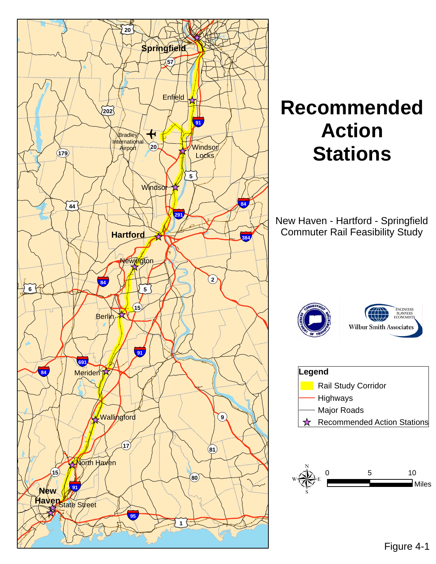

# **Recommended Action Stations**

New Haven - Hartford - Springfield Commuter Rail Feasibility Study





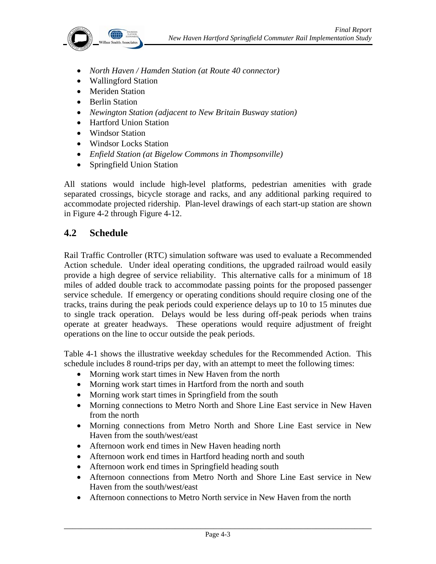

- *North Haven / Hamden Station (at Route 40 connector)*
- Wallingford Station
- Meriden Station
- Berlin Station
- *Newington Station (adjacent to New Britain Busway station)*
- Hartford Union Station
- Windsor Station
- Windsor Locks Station
- *Enfield Station (at Bigelow Commons in Thompsonville)*
- Springfield Union Station

All stations would include high-level platforms, pedestrian amenities with grade separated crossings, bicycle storage and racks, and any additional parking required to accommodate projected ridership. Plan-level drawings of each start-up station are shown in Figure 4-2 through Figure 4-12.

# **4.2 Schedule**

Rail Traffic Controller (RTC) simulation software was used to evaluate a Recommended Action schedule. Under ideal operating conditions, the upgraded railroad would easily provide a high degree of service reliability. This alternative calls for a minimum of 18 miles of added double track to accommodate passing points for the proposed passenger service schedule. If emergency or operating conditions should require closing one of the tracks, trains during the peak periods could experience delays up to 10 to 15 minutes due to single track operation. Delays would be less during off-peak periods when trains operate at greater headways. These operations would require adjustment of freight operations on the line to occur outside the peak periods.

Table 4-1 shows the illustrative weekday schedules for the Recommended Action. This schedule includes 8 round-trips per day, with an attempt to meet the following times:

- Morning work start times in New Haven from the north
- Morning work start times in Hartford from the north and south
- Morning work start times in Springfield from the south
- Morning connections to Metro North and Shore Line East service in New Haven from the north
- Morning connections from Metro North and Shore Line East service in New Haven from the south/west/east
- Afternoon work end times in New Haven heading north
- Afternoon work end times in Hartford heading north and south
- Afternoon work end times in Springfield heading south
- Afternoon connections from Metro North and Shore Line East service in New Haven from the south/west/east
- Afternoon connections to Metro North service in New Haven from the north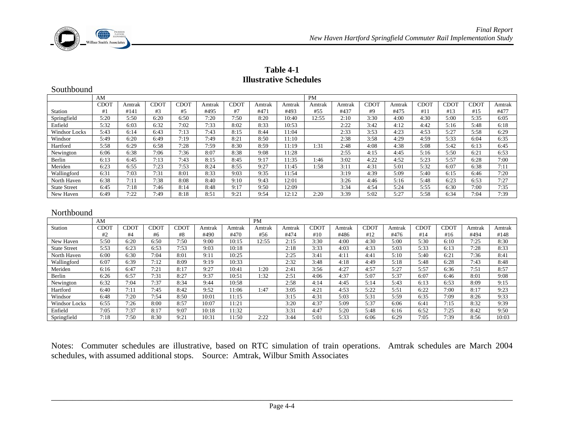

#### **Table 4-1 Illustrative Schedules**

| Southbound          |             |        |             |             |        |             |           |        |        |        |             |        |      |             |      |        |
|---------------------|-------------|--------|-------------|-------------|--------|-------------|-----------|--------|--------|--------|-------------|--------|------|-------------|------|--------|
| AM                  |             |        |             |             |        |             | <b>PM</b> |        |        |        |             |        |      |             |      |        |
|                     | <b>CDOT</b> | Amtrak | <b>CDOT</b> | <b>CDOT</b> | Amtrak | <b>CDOT</b> | Amtrak    | Amtrak | Amtrak | Amtrak | <b>CDOT</b> | Amtrak | CDOT | <b>CDOT</b> | CDOT | Amtrak |
| Station             | #1          | #141   | #3          | #5          | #495   | #7          | #471      | #493   | #55    | #437   | #9          | #475   | #11  | #13         | #15  | #477   |
| Springfield         | 5:20        | 5:50   | 6:20        | 6:50        | 7:20   | 7:50        | 8:20      | 10:40  | 12:55  | 2:10   | 3:30        | 4:00   | 4:30 | 5:00        | 5:35 | 6:05   |
| Enfield             | 5:32        | 6:03   | 6:32        | 7:02        | 7:33   | 8:02        | 8:33      | 10:53  |        | 2:22   | 3:42        | 4:12   | 4:42 | 5:16        | 5:48 | 6:18   |
| Windsor Locks       | 5:43        | 6:14   | 6:43        | 7:13        | 7:43   | 8:15        | 8:44      | 11:04  |        | 2:33   | 3:53        | 4:23   | 4:53 | 5:27        | 5:58 | 6:29   |
| Windsor             | 5:49        | 6:20   | 6:49        | 7:19        | 7:49   | 8:21        | 8:50      | 11:10  |        | 2:38   | 3:58        | 4:29   | 4:59 | 5:33        | 6:04 | 6:35   |
| Hartford            | 5:58        | 6:29   | 6:58        | 7:28        | 7:59   | 8:30        | 8:59      | 11:19  | 1:31   | 2:48   | 4:08        | 4:38   | 5:08 | 5:42        | 6:13 | 6:45   |
| Newington           | 6:06        | 6:38   | 7:06        | 7:36        | 8:07   | 8:38        | 9:08      | 11:28  |        | 2:55   | 4:15        | 4:45   | 5:16 | 5:50        | 6:21 | 6:53   |
| Berlin              | 6:13        | 6:45   | 7:13        | 7:43        | 8:15   | 8:45        | 9:17      | 11:35  | 1:46   | 3:02   | 4:22        | 4:52   | 5:23 | 5:57        | 6:28 | 7:00   |
| Meriden             | 6:23        | 6:55   | 7:23        | 7:53        | 8:24   | 8:55        | 9:27      | 11:45  | 1:58   | 3:11   | 4:31        | 5:01   | 5:32 | 6:07        | 6:38 | 7:11   |
| Wallingford         | 6:31        | 7:03   | 7:31        | 8:01        | 8:33   | 9:03        | 9:35      | 11:54  |        | 3:19   | 4:39        | 5:09   | 5:40 | 6:15        | 6:46 | 7:20   |
| North Haven         | 6:38        | 7:11   | 7:38        | 8:08        | 8:40   | 9:10        | 9:43      | 12:01  |        | 3:26   | 4:46        | 5:16   | 5:48 | 6:23        | 6:53 | 7:27   |
| <b>State Street</b> | 6:45        | 7:18   | 7:46        | 8:14        | 8:48   | 9:17        | 9:50      | 12:09  |        | 3:34   | 4:54        | 5:24   | 5:55 | 6:30        | 7:00 | 7:35   |
| New Haven           | 6:49        | 7:22   | 7:49        | 8:18        | 8:51   | 9:21        | 9:54      | 12:12  | 2:20   | 3:39   | 5:02        | 5:27   | 5:58 | 6:34        | 7:04 | 7:39   |
|                     |             |        |             |             |        |             |           |        |        |        |             |        |      |             |      |        |

| Northbound |  |
|------------|--|
|            |  |

|                     | AM          |             |      |      |        |        | <b>PM</b> |        |      |        |      |        |      |      |        |        |
|---------------------|-------------|-------------|------|------|--------|--------|-----------|--------|------|--------|------|--------|------|------|--------|--------|
| Station             | <b>CDOT</b> | <b>CDOT</b> | CDOT | TOCE | Amtrak | Amtrak | Amtrak    | Amtrak | CDOT | Amtrak | CDOT | Amtral | CDOT | CDOT | Amtrak | Amtrak |
|                     | #2          | #4          | #6   | #8   | #490   | #470   | #56       | #474   | #10  | #486   | #12  | #476   | #14  | #16  | #494   | #148   |
| New Haven           | 5:50        | 6:20        | 6:50 | 7:50 | 9:00   | 10:15  | 2:55      | 2:15   | 3:30 | 4:00   | 4:30 | 5:00   | 5:30 | 6:10 | 7:25   | 8:30   |
| <b>State Street</b> | 5:53        | 6:23        | 6:53 | 7:53 | 9:03   | 10:18  |           | 2:18   | 3:33 | 4:03   | 4:33 | 5:03   | 5:33 | 6:13 | 7:28   | 8:33   |
| North Haven         | 6:00        | 6:30        | 7:04 | 8:01 | 9:11   | 10:25  |           | 2:25   | 3:41 | 4:11   | 4:41 | 5:10   | 5:40 | 6:21 | 7:36   | 8:41   |
| Wallingford         | 6:07        | 6:39        | 7:12 | 8:09 | 9:19   | 10:33  |           | 2:32   | 3:48 | 4:18   | 4:49 | 5:18   | 5:48 | 6:28 | 7:43   | 8:48   |
| Meriden             | 6:16        | 6:47        | 7:21 | 8:17 | 9:27   | 10:41  | l:20      | 2:41   | 3:56 | 4:27   | 4:57 | 5:27   | 5:57 | 6:36 | 7:51   | 8:57   |
| Berlin              | 6:26        | 6:57        | 7:31 | 8:27 | 9:37   | 10:51  | 1:32      | 2:51   | 4:06 | 4:37   | 5:07 | 5:37   | 6:07 | 6:46 | 8:01   | 9:08   |
| Newington           | 6:32        | 7:04        | 7:37 | 8:34 | 9:44   | 10:58  |           | 2:58   | 4:14 | 4:45   | 5:14 | 5:43   | 6:13 | 6:53 | 8:09   | 9:15   |
| Hartford            | 6:40        | 7:11        | 7:45 | 8:42 | 9:52   | 1:06   | l:47      | 3:05   | 4:21 | 4:53   | 5:22 | 5:51   | 6:22 | 7:00 | 8:17   | 9:23   |
| Windsor             | 6:48        | 7:20        | 7:54 | 8:50 | 10:01  | 11:15  |           | 3:15   | 4:31 | 5:03   | 5:31 | 5:59   | 6:35 | 7:09 | 8:26   | 9:33   |
| Windsor Locks       | 6:55        | 7:26        | 8:00 | 8:57 | 10:07  | 11:21  |           | 3:20   | 4:37 | 5:09   | 5:37 | 6:06   | 6:41 | 7:15 | 8:32   | 9:39   |
| Enfield             | 7:05        | 7:37        | 8:17 | 9:07 | 10:18  | 1:32   |           | 3:31   | 4:47 | 5:20   | 5:48 | 6:16   | 6:52 | 7:25 | 8:42   | 9:50   |
| Springfield         | 7:18        | 7:50        | 8:30 | 9:21 | 10:31  | 1:50   | 2:22      | 3:44   | 5:01 | 5:33   | 6:06 | 6:29   | 7:05 | 7:39 | 8:56   | 10:03  |

Notes: Commuter schedules are illustrative, based on RTC simulation of train operations. Amtrak schedules are March 2004 schedules, with assumed additional stops. Source: Amtrak, Wilbur Smith Associates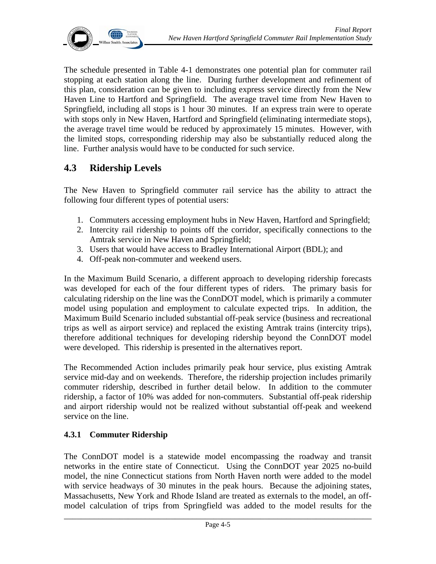

The schedule presented in Table 4-1 demonstrates one potential plan for commuter rail stopping at each station along the line. During further development and refinement of this plan, consideration can be given to including express service directly from the New Haven Line to Hartford and Springfield. The average travel time from New Haven to Springfield, including all stops is 1 hour 30 minutes. If an express train were to operate with stops only in New Haven, Hartford and Springfield (eliminating intermediate stops), the average travel time would be reduced by approximately 15 minutes. However, with the limited stops, corresponding ridership may also be substantially reduced along the line. Further analysis would have to be conducted for such service.

# **4.3 Ridership Levels**

The New Haven to Springfield commuter rail service has the ability to attract the following four different types of potential users:

- 1. Commuters accessing employment hubs in New Haven, Hartford and Springfield;
- 2. Intercity rail ridership to points off the corridor, specifically connections to the Amtrak service in New Haven and Springfield;
- 3. Users that would have access to Bradley International Airport (BDL); and
- 4. Off-peak non-commuter and weekend users.

In the Maximum Build Scenario, a different approach to developing ridership forecasts was developed for each of the four different types of riders. The primary basis for calculating ridership on the line was the ConnDOT model, which is primarily a commuter model using population and employment to calculate expected trips. In addition, the Maximum Build Scenario included substantial off-peak service (business and recreational trips as well as airport service) and replaced the existing Amtrak trains (intercity trips), therefore additional techniques for developing ridership beyond the ConnDOT model were developed. This ridership is presented in the alternatives report.

The Recommended Action includes primarily peak hour service, plus existing Amtrak service mid-day and on weekends. Therefore, the ridership projection includes primarily commuter ridership, described in further detail below. In addition to the commuter ridership, a factor of 10% was added for non-commuters. Substantial off-peak ridership and airport ridership would not be realized without substantial off-peak and weekend service on the line.

## **4.3.1 Commuter Ridership**

The ConnDOT model is a statewide model encompassing the roadway and transit networks in the entire state of Connecticut. Using the ConnDOT year 2025 no-build model, the nine Connecticut stations from North Haven north were added to the model with service headways of 30 minutes in the peak hours. Because the adjoining states, Massachusetts, New York and Rhode Island are treated as externals to the model, an offmodel calculation of trips from Springfield was added to the model results for the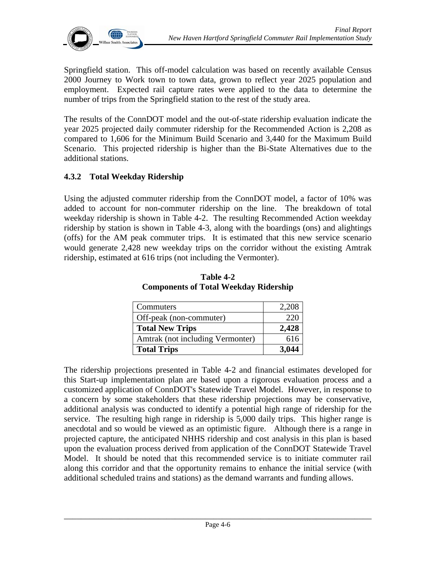

Springfield station. This off-model calculation was based on recently available Census 2000 Journey to Work town to town data, grown to reflect year 2025 population and employment. Expected rail capture rates were applied to the data to determine the number of trips from the Springfield station to the rest of the study area.

The results of the ConnDOT model and the out-of-state ridership evaluation indicate the year 2025 projected daily commuter ridership for the Recommended Action is 2,208 as compared to 1,606 for the Minimum Build Scenario and 3,440 for the Maximum Build Scenario. This projected ridership is higher than the Bi-State Alternatives due to the additional stations.

## **4.3.2 Total Weekday Ridership**

Using the adjusted commuter ridership from the ConnDOT model, a factor of 10% was added to account for non-commuter ridership on the line. The breakdown of total weekday ridership is shown in Table 4-2. The resulting Recommended Action weekday ridership by station is shown in Table 4-3, along with the boardings (ons) and alightings (offs) for the AM peak commuter trips. It is estimated that this new service scenario would generate 2,428 new weekday trips on the corridor without the existing Amtrak ridership, estimated at 616 trips (not including the Vermonter).

| Commuters                        | 2,208 |
|----------------------------------|-------|
| Off-peak (non-commuter)          | 220   |
| <b>Total New Trips</b>           | 2,428 |
| Amtrak (not including Vermonter) | 616   |
| <b>Total Trips</b>               | 3,044 |

**Table 4-2 Components of Total Weekday Ridership** 

The ridership projections presented in Table 4-2 and financial estimates developed for this Start-up implementation plan are based upon a rigorous evaluation process and a customized application of ConnDOT's Statewide Travel Model. However, in response to a concern by some stakeholders that these ridership projections may be conservative, additional analysis was conducted to identify a potential high range of ridership for the service. The resulting high range in ridership is 5,000 daily trips. This higher range is anecdotal and so would be viewed as an optimistic figure. Although there is a range in projected capture, the anticipated NHHS ridership and cost analysis in this plan is based upon the evaluation process derived from application of the ConnDOT Statewide Travel Model. It should be noted that this recommended service is to initiate commuter rail along this corridor and that the opportunity remains to enhance the initial service (with additional scheduled trains and stations) as the demand warrants and funding allows.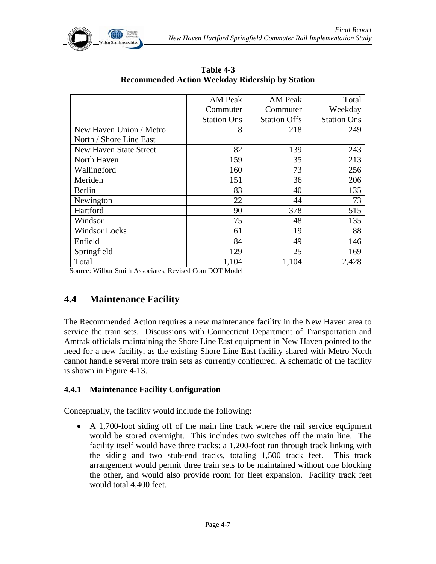

|                         | <b>AM Peak</b>     | <b>AM Peak</b>      | Total              |
|-------------------------|--------------------|---------------------|--------------------|
|                         | Commuter           | Commuter            | Weekday            |
|                         | <b>Station Ons</b> | <b>Station Offs</b> | <b>Station Ons</b> |
| New Haven Union / Metro | 8                  | 218                 | 249                |
| North / Shore Line East |                    |                     |                    |
| New Haven State Street  | 82                 | 139                 | 243                |
| North Haven             | 159                | 35                  | 213                |
| Wallingford             | 160                | 73                  | 256                |
| Meriden                 | 151                | 36                  | 206                |
| Berlin                  | 83                 | 40                  | 135                |
| Newington               | 22                 | 44                  | 73                 |
| Hartford                | 90                 | 378                 | 515                |
| Windsor                 | 75                 | 48                  | 135                |
| <b>Windsor Locks</b>    | 61                 | 19                  | 88                 |
| Enfield                 | 84                 | 49                  | 146                |
| Springfield             | 129                | 25                  | 169                |
| Total                   | 1,104              | 1,104               | 2,428              |

**Table 4-3 Recommended Action Weekday Ridership by Station** 

Source: Wilbur Smith Associates, Revised ConnDOT Model

# **4.4 Maintenance Facility**

The Recommended Action requires a new maintenance facility in the New Haven area to service the train sets. Discussions with Connecticut Department of Transportation and Amtrak officials maintaining the Shore Line East equipment in New Haven pointed to the need for a new facility, as the existing Shore Line East facility shared with Metro North cannot handle several more train sets as currently configured. A schematic of the facility is shown in Figure 4-13.

#### **4.4.1 Maintenance Facility Configuration**

Conceptually, the facility would include the following:

• A 1,700-foot siding off of the main line track where the rail service equipment would be stored overnight. This includes two switches off the main line. The facility itself would have three tracks: a 1,200-foot run through track linking with the siding and two stub-end tracks, totaling 1,500 track feet. This track arrangement would permit three train sets to be maintained without one blocking the other, and would also provide room for fleet expansion. Facility track feet would total 4,400 feet.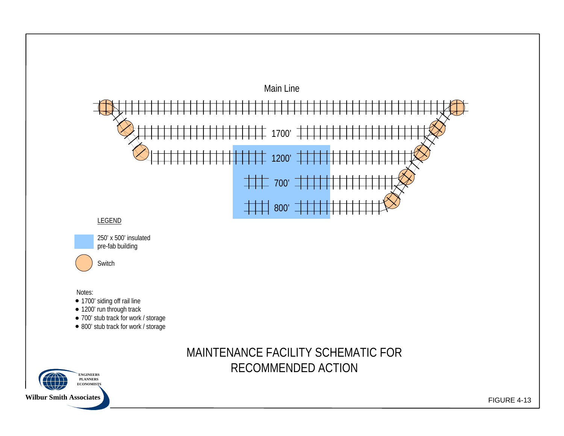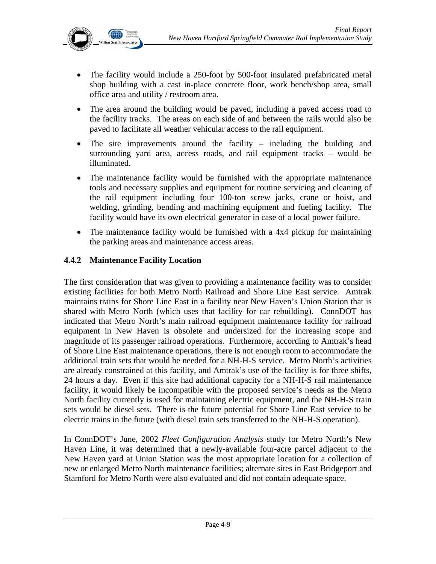

- The facility would include a 250-foot by 500-foot insulated prefabricated metal shop building with a cast in-place concrete floor, work bench/shop area, small office area and utility / restroom area.
- The area around the building would be paved, including a paved access road to the facility tracks. The areas on each side of and between the rails would also be paved to facilitate all weather vehicular access to the rail equipment.
- The site improvements around the facility including the building and surrounding yard area, access roads, and rail equipment tracks – would be illuminated.
- The maintenance facility would be furnished with the appropriate maintenance tools and necessary supplies and equipment for routine servicing and cleaning of the rail equipment including four 100-ton screw jacks, crane or hoist, and welding, grinding, bending and machining equipment and fueling facility. The facility would have its own electrical generator in case of a local power failure.
- The maintenance facility would be furnished with a 4x4 pickup for maintaining the parking areas and maintenance access areas.

## **4.4.2 Maintenance Facility Location**

The first consideration that was given to providing a maintenance facility was to consider existing facilities for both Metro North Railroad and Shore Line East service. Amtrak maintains trains for Shore Line East in a facility near New Haven's Union Station that is shared with Metro North (which uses that facility for car rebuilding). ConnDOT has indicated that Metro North's main railroad equipment maintenance facility for railroad equipment in New Haven is obsolete and undersized for the increasing scope and magnitude of its passenger railroad operations. Furthermore, according to Amtrak's head of Shore Line East maintenance operations, there is not enough room to accommodate the additional train sets that would be needed for a NH-H-S service. Metro North's activities are already constrained at this facility, and Amtrak's use of the facility is for three shifts, 24 hours a day. Even if this site had additional capacity for a NH-H-S rail maintenance facility, it would likely be incompatible with the proposed service's needs as the Metro North facility currently is used for maintaining electric equipment, and the NH-H-S train sets would be diesel sets. There is the future potential for Shore Line East service to be electric trains in the future (with diesel train sets transferred to the NH-H-S operation).

In ConnDOT's June, 2002 *Fleet Configuration Analysis* study for Metro North's New Haven Line, it was determined that a newly-available four-acre parcel adjacent to the New Haven yard at Union Station was the most appropriate location for a collection of new or enlarged Metro North maintenance facilities; alternate sites in East Bridgeport and Stamford for Metro North were also evaluated and did not contain adequate space.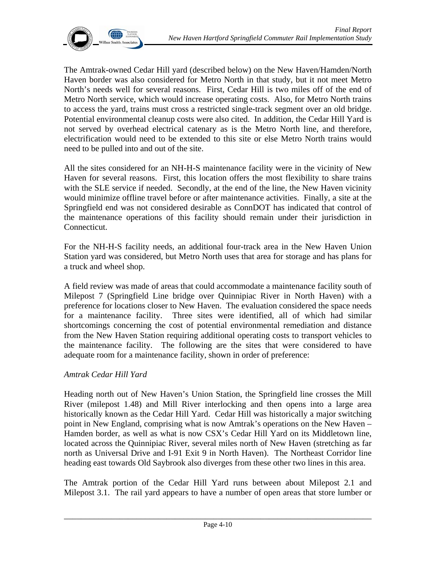

The Amtrak-owned Cedar Hill yard (described below) on the New Haven/Hamden/North Haven border was also considered for Metro North in that study, but it not meet Metro North's needs well for several reasons. First, Cedar Hill is two miles off of the end of Metro North service, which would increase operating costs. Also, for Metro North trains to access the yard, trains must cross a restricted single-track segment over an old bridge. Potential environmental cleanup costs were also cited. In addition, the Cedar Hill Yard is not served by overhead electrical catenary as is the Metro North line, and therefore, electrification would need to be extended to this site or else Metro North trains would need to be pulled into and out of the site.

All the sites considered for an NH-H-S maintenance facility were in the vicinity of New Haven for several reasons. First, this location offers the most flexibility to share trains with the SLE service if needed. Secondly, at the end of the line, the New Haven vicinity would minimize offline travel before or after maintenance activities. Finally, a site at the Springfield end was not considered desirable as ConnDOT has indicated that control of the maintenance operations of this facility should remain under their jurisdiction in Connecticut.

For the NH-H-S facility needs, an additional four-track area in the New Haven Union Station yard was considered, but Metro North uses that area for storage and has plans for a truck and wheel shop.

A field review was made of areas that could accommodate a maintenance facility south of Milepost 7 (Springfield Line bridge over Quinnipiac River in North Haven) with a preference for locations closer to New Haven. The evaluation considered the space needs for a maintenance facility. Three sites were identified, all of which had similar shortcomings concerning the cost of potential environmental remediation and distance from the New Haven Station requiring additional operating costs to transport vehicles to the maintenance facility. The following are the sites that were considered to have adequate room for a maintenance facility, shown in order of preference:

#### *Amtrak Cedar Hill Yard*

Heading north out of New Haven's Union Station, the Springfield line crosses the Mill River (milepost 1.48) and Mill River interlocking and then opens into a large area historically known as the Cedar Hill Yard. Cedar Hill was historically a major switching point in New England, comprising what is now Amtrak's operations on the New Haven – Hamden border, as well as what is now CSX's Cedar Hill Yard on its Middletown line, located across the Quinnipiac River, several miles north of New Haven (stretching as far north as Universal Drive and I-91 Exit 9 in North Haven). The Northeast Corridor line heading east towards Old Saybrook also diverges from these other two lines in this area.

The Amtrak portion of the Cedar Hill Yard runs between about Milepost 2.1 and Milepost 3.1. The rail yard appears to have a number of open areas that store lumber or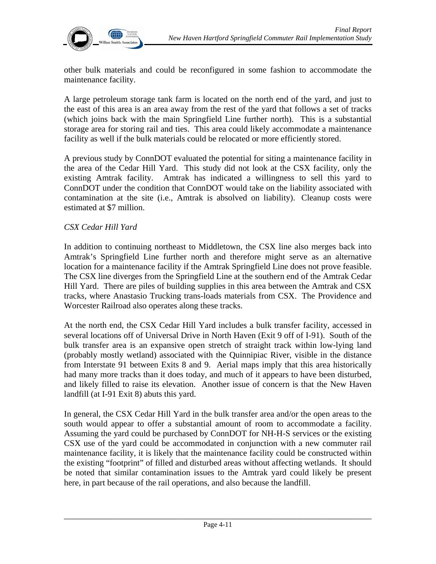

other bulk materials and could be reconfigured in some fashion to accommodate the maintenance facility.

A large petroleum storage tank farm is located on the north end of the yard, and just to the east of this area is an area away from the rest of the yard that follows a set of tracks (which joins back with the main Springfield Line further north). This is a substantial storage area for storing rail and ties. This area could likely accommodate a maintenance facility as well if the bulk materials could be relocated or more efficiently stored.

A previous study by ConnDOT evaluated the potential for siting a maintenance facility in the area of the Cedar Hill Yard. This study did not look at the CSX facility, only the existing Amtrak facility. Amtrak has indicated a willingness to sell this yard to ConnDOT under the condition that ConnDOT would take on the liability associated with contamination at the site (i.e., Amtrak is absolved on liability). Cleanup costs were estimated at \$7 million.

#### *CSX Cedar Hill Yard*

In addition to continuing northeast to Middletown, the CSX line also merges back into Amtrak's Springfield Line further north and therefore might serve as an alternative location for a maintenance facility if the Amtrak Springfield Line does not prove feasible. The CSX line diverges from the Springfield Line at the southern end of the Amtrak Cedar Hill Yard. There are piles of building supplies in this area between the Amtrak and CSX tracks, where Anastasio Trucking trans-loads materials from CSX. The Providence and Worcester Railroad also operates along these tracks.

At the north end, the CSX Cedar Hill Yard includes a bulk transfer facility, accessed in several locations off of Universal Drive in North Haven (Exit 9 off of I-91). South of the bulk transfer area is an expansive open stretch of straight track within low-lying land (probably mostly wetland) associated with the Quinnipiac River, visible in the distance from Interstate 91 between Exits 8 and 9. Aerial maps imply that this area historically had many more tracks than it does today, and much of it appears to have been disturbed, and likely filled to raise its elevation. Another issue of concern is that the New Haven landfill (at I-91 Exit 8) abuts this yard.

In general, the CSX Cedar Hill Yard in the bulk transfer area and/or the open areas to the south would appear to offer a substantial amount of room to accommodate a facility. Assuming the yard could be purchased by ConnDOT for NH-H-S services or the existing CSX use of the yard could be accommodated in conjunction with a new commuter rail maintenance facility, it is likely that the maintenance facility could be constructed within the existing "footprint" of filled and disturbed areas without affecting wetlands. It should be noted that similar contamination issues to the Amtrak yard could likely be present here, in part because of the rail operations, and also because the landfill.